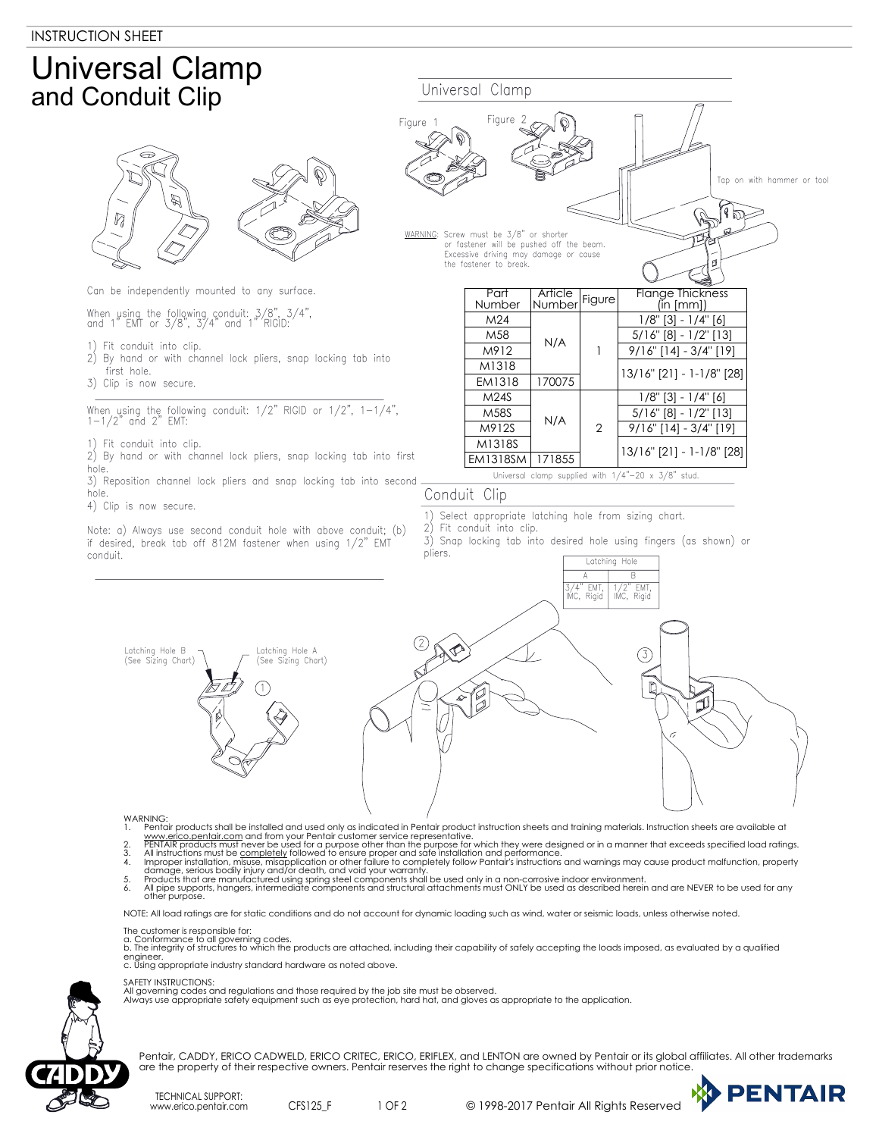## Universal Clamp and Conduit Clip



Can be independently mounted to any surface.

When using the following conduit: 3/8", 3/4", and 1" EMT or 3/8", 3/4" and 1" RIGID:

- 1) Fit conduit into clip.
- 2) By hand or with channel lock pliers, snap locking tab into first hole.
- 3) Clip is now secure.

When using the following conduit: 1/2" RIGID or 1/2", 1-1/4", 1-1/2" and 2" EMT:

- 1) Fit conduit into clip.<br>2) By hand or with cho
- By hand or with channel lock pliers, snap locking tab into first hole.
- 3) Reposition channel lock pliers and snap locking tab into second hole.
- 4) Clip is now secure.

Note: a) Always use second conduit hole with above conduit; (b) if desired, break tab off 812M fastener when using 1/2" EMT conduit.



## Conduit Clip

- 1) Select appropriate latching hole from sizing chart.<br>2) Fit conduit into clin
- Fit conduit into clip.

Universal Clamp

3) Snap locking tab into desired hole using fingers (as shown) or pliers.

Latching Hole



- 
- 1. Pentair products shall be installed and used only as indicated in Pentair product instruction sheets and training materials. Instruction sheets are available at www.erico.pentair.com and from your Pentair custome servic
- 
- 

NOTE: All load ratings are for static conditions and do not account for dynamic loading such as wind, water or seismic loads, unless otherwise noted.

- The customer is responsible for:<br>a. Conformance to all governing codes.<br>b. The integrity of structures to which the products are attached, including their capability of safely accepting the loads imposed, as evaluated by a
- c. Using appropriate industry standard hardware as noted above.
- 

SAFETY INSTRUCTIONS:

All governing codes and regulations and those required by the job site must be observed. Always use appropriate safety equipment such as eye protection, hard hat, and gloves as appropriate to the application.



TECHNICAL SUPPORT: www.erico.pentair.com CFS125\_F

1 OF 2 © 1998-2017 Pentair All Rights Reserved

**PENTAIR**